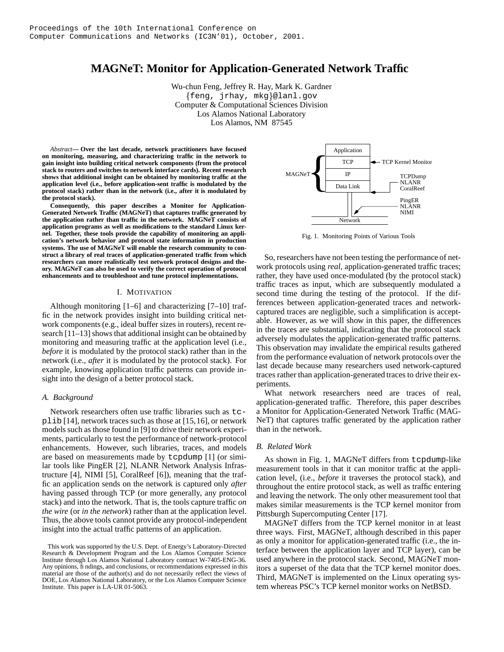# **MAGNeT: Monitor for Application-Generated Network Traffic**

Wu-chun Feng, Jeffrey R. Hay, Mark K. Gardner  $\{\operatorname{\mathtt{feng}},\operatorname{\mathtt{jrhay}},\operatorname{\mathtt{mkg}}\}$ @lanl.gov Computer & Computational Sciences Division Los Alamos National Laboratory Los Alamos, NM 87545

*Abstract***— Over the last decade, network practitioners have focused on monitoring, measuring, and characterizing traffic in the network to gain insight into building critical network components (from the protocol stack to routers and switches to network interface cards). Recent research shows that additional insight can be obtained by monitoring traffic at the application level (i.e., before application-sent traffic is modulated by the protocol stack) rather than in the network (i.e., after it is modulated by the protocol stack).**

**Consequently, this paper describes a Monitor for Application-Generated Network Traffic (MAGNeT) that captures traffic generated by the application rather than traffic in the network. MAGNeT consists of application programs as well as modifications to the standard Linux kernel. Together, these tools provide the capability of monitoring an application's network behavior and protocol state information in production systems. The use of MAGNeT will enable the research community to construct a library of real traces of application-generated traffic from which researchers can more realistically test network protocol designs and theory. MAGNeT can also be used to verify the correct operation of protocol enhancements and to troubleshoot and tune protocol implementations.**

#### I. MOTIVATION

Although monitoring [1–6] and characterizing [7–10] traffic in the network provides insight into building critical network components (e.g., ideal buffer sizes in routers), recent research  $[11-13]$  shows that additional insight can be obtained by monitoring and measuring traffic at the application level (i.e., *before* it is modulated by the protocol stack) rather than in the network (i.e., *after* it is modulated by the protocol stack). For example, knowing application traffic patterns can provide insight into the design of a better protocol stack.

### *A. Background*

Network researchers often use traffic libraries such as tcplib [14], network traces such as those at [15,16], or network models such as those found in [9] to drive their network experiments, particularly to test the performance of network-protocol enhancements. However, such libraries, traces, and models are based on measurements made by tcpdump [1] (or similar tools like PingER [2], NLANR Network Analysis Infrastructure [4], NIMI [5], CoralReef [6]), meaning that the traffic an application sends on the network is captured only *after* having passed through TCP (or more generally, any protocol stack) and into the network. That is, the tools capture traffic *on the wire* (or *in the network*) rather than at the application level. Thus, the above tools cannot provide any protocol-independent insight into the actual traffic patterns of an application.



Fig. 1. Monitoring Points of Various Tools

So, researchers have not been testing the performance of network protocols using *real*, application-generated traffic traces; rather, they have used once-modulated (by the protocol stack) traffic traces as input, which are subsequently modulated a second time during the testing of the protocol. If the differences between application-generated traces and networkcaptured traces are negligible, such a simplification is acceptable. However, as we will show in this paper, the differences in the traces are substantial, indicating that the protocol stack adversely modulates the application-generated traffic patterns. This observation may invalidate the empirical results gathered from the performance evaluation of network protocols over the last decade because many researchers used network-captured traces rather than application-generated traces to drive their experiments.

What network researchers need are traces of real, application-generated traffic. Therefore, this paper describes a Monitor for Application-Generated Network Traffic (MAG-NeT) that captures traffic generated by the application rather than in the network.

#### *B. Related Work*

As shown in Fig. 1, MAGNeT differs from tcpdump-like measurement tools in that it can monitor traffic at the application level, (i.e., *before* it traverses the protocol stack), and throughout the entire protocol stack, as well as traffic entering and leaving the network. The only other measurement tool that makes similar measurements is the TCP kernel monitor from Pittsburgh Supercomputing Center [17].

MAGNeT differs from the TCP kernel monitor in at least three ways. First, MAGNeT, although described in this paper as only a monitor for application-generated traffic (i.e., the interface between the application layer and TCP layer), can be used anywhere in the protocol stack. Second, MAGNeT monitors a superset of the data that the TCP kernel monitor does. Third, MAGNeT is implemented on the Linux operating system whereas PSC's TCP kernel monitor works on NetBSD.

This work was supported by the U.S. Dept. of Energy's Laboratory-Directed Research & Development Program and the Los Alamos Computer Science Institute through Los Alamos National Laboratory contract W-7405-ENG-36. Any opinions, findings, and conclusions, or recommendations expressed in this material are those of the author(s) and do not necessarily reflect the views of DOE, Los Alamos National Laboratory, or the Los Alamos Computer Science Institute. This paper is LA-UR 01-5063.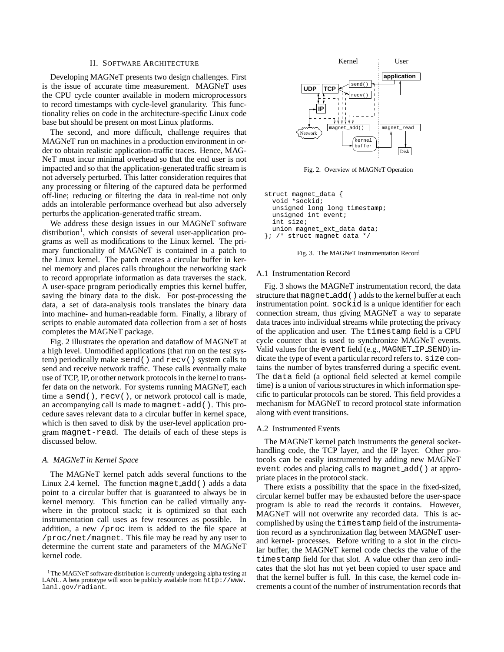# II. SOFTWARE ARCHITECTURE

Developing MAGNeT presents two design challenges. First is the issue of accurate time measurement. MAGNeT uses the CPU cycle counter available in modern microprocessors to record timestamps with cycle-level granularity. This functionality relies on code in the architecture-specific Linux code base but should be present on most Linux platforms.

The second, and more difficult, challenge requires that MAGNeT run on machines in a production environment in order to obtain realistic application-traffic traces. Hence, MAG-NeT must incur minimal overhead so that the end user is not impacted and so that the application-generated traffic stream is not adversely perturbed. This latter consideration requires that any processing or filtering of the captured data be performed off-line; reducing or filtering the data in real-time not only adds an intolerable performance overhead but also adversely perturbs the application-generated traffic stream.

We address these design issues in our MAGNeT software distribution<sup>1</sup>, which consists of several user-application programs as well as modifications to the Linux kernel. The primary functionality of MAGNeT is contained in a patch to the Linux kernel. The patch creates a circular buffer in kernel memory and places calls throughout the networking stack to record appropriate information as data traverses the stack. A user-space program periodically empties this kernel buffer, saving the binary data to the disk. For post-processing the data, a set of data-analysis tools translates the binary data into machine- and human-readable form. Finally, a library of scripts to enable automated data collection from a set of hosts completes the MAGNeT package.

Fig. 2 illustrates the operation and dataflow of MAGNeT at a high level. Unmodified applications (that run on the test system) periodically make send() and recv() system calls to send and receive network traffic. These calls eventually make use of TCP, IP, or other network protocols in the kernel to transfer data on the network. For systems running MAGNeT, each time a send(), recv(), or network protocol call is made, an accompanying call is made to magnet-add(). This procedure saves relevant data to a circular buffer in kernel space, which is then saved to disk by the user-level application program magnet-read. The details of each of these steps is discussed below.

# *A. MAGNeT in Kernel Space*

The MAGNeT kernel patch adds several functions to the Linux 2.4 kernel. The function magnet add() adds a data point to a circular buffer that is guaranteed to always be in kernel memory. This function can be called virtually anywhere in the protocol stack; it is optimized so that each instrumentation call uses as few resources as possible. In addition, a new /proc item is added to the file space at /proc/net/magnet. This file may be read by any user to determine the current state and parameters of the MAGNeT kernel code.



Fig. 2. Overview of MAGNeT Operation

struct magnet\_data { void \*sockid; unsigned long long timestamp; unsigned int event; int size; union magnet ext data data; }; /\* struct magnet data \*/

Fig. 3. The MAGNeT Instrumentation Record

#### A.1 Instrumentation Record

Fig. 3 shows the MAGNeT instrumentation record, the data structure that magnet add() addsto the kernel buffer at each instrumentation point. sockid is a unique identifier for each connection stream, thus giving MAGNeT a way to separate data traces into individual streams while protecting the privacy of the application and user. The timestamp field is a CPU cycle counter that is used to synchronize MAGNeT events. Valid values for the event field (e.g., MAGNET IP SEND) indicate the type of event a particular record refers to. size contains the number of bytes transferred during a specific event. The data field (a optional field selected at kernel compile time) is a union of various structures in which information specific to particular protocols can be stored. This field provides a mechanism for MAGNeT to record protocol state information along with event transitions.

## A.2 Instrumented Events

The MAGNeT kernel patch instruments the general sockethandling code, the TCP layer, and the IP layer. Other protocols can be easily instrumented by adding new MAGNeT event codes and placing calls to magnet add() at appropriate places in the protocol stack.

There exists a possibility that the space in the fixed-sized, circular kernel buffer may be exhausted before the user-space program is able to read the records it contains. However, MAGNeT will not overwrite any recorded data. This is accomplished by using the timestamp field of the instrumentation record as a synchronization flag between MAGNeT userand kernel- processes. Before writing to a slot in the circular buffer, the MAGNeT kernel code checks the value of the timestamp field for that slot. A value other than zero indicates that the slot has not yet been copied to user space and that the kernel buffer is full. In this case, the kernel code increments a count of the number of instrumentation records that

<sup>&</sup>lt;sup>1</sup>The MAGNeT software distribution is currently undergoing alpha testing at LANL. A beta prototype will soon be publicly available from  $http://www.$ lanl.gov/radiant.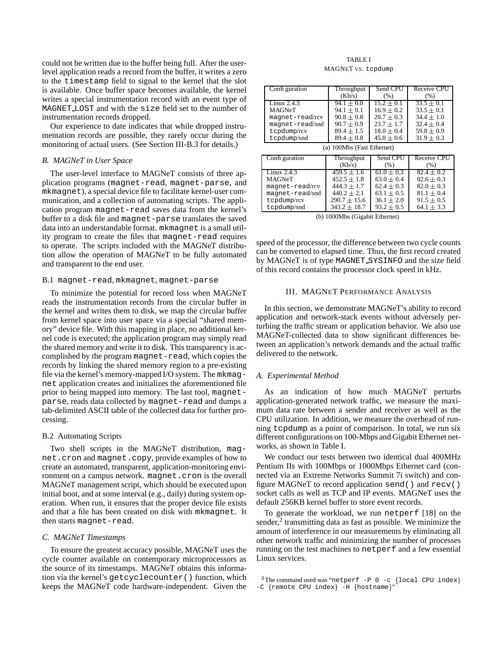could not be written due to the buffer being full. After the userlevel application reads a record from the buffer, it writes a zero to the timestamp field to signal to the kernel that the slot is available. Once buffer space becomes available, the kernel writes a special instrumentation record with an event type of MAGNET LOST and with the size field set to the number of instrumentation records dropped.

Our experience to date indicates that while dropped instrumentation records are possible, they rarely occur during the monitoring of actual users. (See Section III-B.3 for details.)

# *B. MAGNeT in User Space*

The user-level interface to MAGNeT consists of three application programs (magnet-read, magnet-parse, and mkmagnet), a special device file to facilitate kernel-user communication, and a collection of automating scripts. The application program magnet-read saves data from the kernel's buffer to a disk file and magnet-parse translates the saved data into an understandable format. mkmagnet is a small utility program to create the files that magnet-read requires to operate. The scripts included with the MAGNeT distribution allow the operation of MAGNeT to be fully automated and transparent to the end user.

# B.1 magnet-read, mkmagnet, magnet-parse

To minimize the potential for record loss when MAGNeT reads the instrumentation records from the circular buffer in the kernel and writes them to disk, we map the circular buffer from kernel space into user space via a special "shared memory" device file. With this mapping in place, no additional kernel code is executed; the application program may simply read the shared memory and write it to disk. This transparency is accomplished by the program magnet-read, which copies the records by linking the shared memory region to a pre-existing file via the kernel's memory-mapped I/O system. The mkmagnet application creates and initializes the aforementioned file prior to being mapped into memory. The last tool, magnetparse, reads data collected by magnet-read and dumps a tab-delimited ASCII table of the collected data for further processing.

# B.2 Automating Scripts

Two shell scripts in the MAGNeT distribution, magnet.cron and magnet.copy, provide examples of how to create an automated, transparent, application-monitoring environment on a campus network. magnet.cron is the overall MAGNeT management script, which should be executed upon initial boot, and at some interval (e.g., daily) during system operation. When run, it ensures that the proper device file exists and that a file has been created on disk with mkmagnet. It then starts magnet-read.

### *C. MAGNeT Timestamps*

To ensure the greatest accuracy possible, MAGNeT uses the cycle counter available on contemporary microprocessors as the source of its timestamps. MAGNeT obtains this information via the kernel's getcyclecounter() function, which keeps the MAGNeT code hardware-independent. Given the

# TABLE I MAGNET VS. tcpdump

| Confi guration             | Throughput       | Send CPU       | Receive CPU    |  |  |
|----------------------------|------------------|----------------|----------------|--|--|
|                            | (Kb/s)           | (% )           | (% )           |  |  |
| Linux $2.4.3$              | $94.1 \pm 0.0$   | $15.2 \pm 0.1$ | $33.5 \pm 0.1$ |  |  |
| MAGNeT                     | $94.1 \pm 0.1$   | $16.9 \pm 0.2$ | $33.5 \pm 0.1$ |  |  |
| magnet-read/rcv            | $90.8 \pm 0.8$   | $20.7 \pm 0.3$ | $34.4 \pm 1.0$ |  |  |
| magnet-read/snd            | $90.7 \pm 0.9$   | $23.7 \pm 1.7$ | $32.4 \pm 0.4$ |  |  |
| tcpdump/rcv                | $89.4 \pm 1.5$   | $18.0 \pm 0.4$ | $59.8 \pm 0.9$ |  |  |
| tcpdump/snd                | $89.4 \pm 0.8$   | $45.0 \pm 0.6$ | $31.9 \pm 0.3$ |  |  |
| (a) 100Mbs (Fast Ethernet) |                  |                |                |  |  |
| Confi guration             | Throughput       | Send CPU       | Receive CPU    |  |  |
|                            | (Kb/s)           | (% )           | (% )           |  |  |
| Linux $2.4.3$              | $459.5 \pm 1.6$  | $61.0 \pm 0.3$ | $82.4 \pm 0.2$ |  |  |
| <b>MAGNeT</b>              | $452.5 \pm 1.8$  | $63.0 \pm 0.4$ | $82.6 \pm 0.3$ |  |  |
| magnet-read/rcv            | $444.3 \pm 1.7$  | $62.4 \pm 0.3$ | $82.0 \pm 0.3$ |  |  |
| magnet-read/snd            | $440.2 \pm 2.1$  | $63.1 \pm 0.5$ | $81.1 \pm 0.4$ |  |  |
| tcpdump/rcv                | $290.7 \pm 15.6$ | $36.1 \pm 2.0$ | $91.5 \pm 0.5$ |  |  |
| tcpdump/snd                | $343.2 \pm 18.7$ | $93.2 \pm 0.5$ | $64.1 \pm 3.3$ |  |  |

(b) 1000Mbs (Gigabit Ethernet)

speed of the processor, the difference between two cycle counts can be converted to elapsed time. Thus, the first record created by MAGNeT is of type MAGNET SYSINFO and the size field of this record contains the processor clock speed in kHz.

# III. MAGNET PERFORMANCE ANALYSIS

In this section, we demonstrate MAGNeT's ability to record application and network-stack events without adversely perturbing the traffic stream or application behavior. We also use MAGNeT-collected data to show significant differences between an application's network demands and the actual traffic delivered to the network.

### *A. Experimental Method*

As an indication of how much MAGNeT perturbs application-generated network traffic, we measure the maximum data rate between a sender and receiver as well as the CPU utilization. In addition, we measure the overhead of running tcpdump as a point of comparison. In total, we run six different configurations on 100-Mbps and Gigabit Ethernet networks, as shown in Table I.

We conduct our tests between two identical dual 400MHz Pentium IIs with 100Mbps or 1000Mbps Ethernet card (connected via an Extreme Networks Summit 7i switch) and configure MAGNeT to record application send() and recv() socket calls as well as TCP and IP events. MAGNeT uses the default 256KB kernel buffer to store event records.

To generate the workload, we run netperf [18] on the sender, $2$  transmitting data as fast as possible. We minimize the amount of interference in our measurements by eliminating all other network traffic and minimizing the number of processes running on the test machines to netperf and a few essential Linux services.

 $^{2}$ The command used was "netperf -P 0 -c  $\{$  local CPU index $\}$ -C {remote CPU index} -H {hostname}"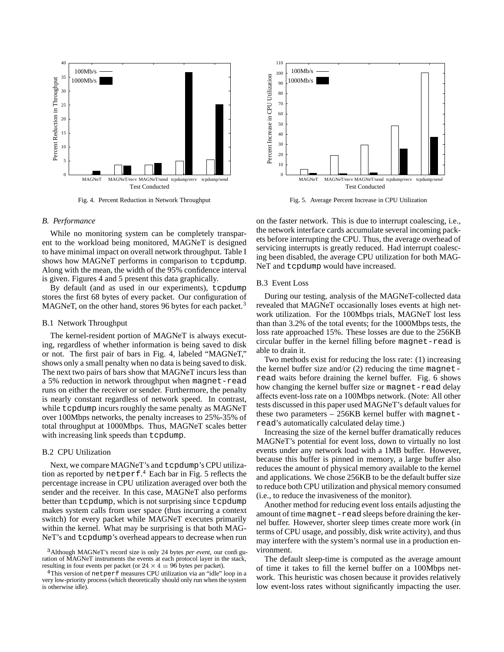

Fig. 4. Percent Reduction in Network Throughput



Fig. 5. Average Percent Increase in CPU Utilization

#### *B. Performance*

While no monitoring system can be completely transparent to the workload being monitored, MAGNeT is designed to have minimal impact on overall network throughput. Table I shows how MAGNeT performs in comparison to tcpdump. Along with the mean, the width of the 95% confidence interval is given. Figures 4 and 5 present this data graphically.

By default (and as used in our experiments), tcpdump stores the first 68 bytes of every packet. Our configuration of MAGNeT, on the other hand, stores 96 bytes for each packet.<sup>3</sup>

### B.1 Network Throughput

The kernel-resident portion of MAGNeT is always executing, regardless of whether information is being saved to disk or not. The first pair of bars in Fig. 4, labeled "MAGNeT," shows only a small penalty when no data is being saved to disk. The next two pairs of bars show that MAGNeT incurs less than a 5% reduction in network throughput when magnet-read runs on either the receiver or sender. Furthermore, the penalty is nearly constant regardless of network speed. In contrast, while tcpdump incurs roughly the same penalty as MAGNeT over 100Mbps networks, the penalty increases to 25%-35% of total throughput at 1000Mbps. Thus, MAGNeT scales better with increasing link speeds than tcpdump.

# B.2 CPU Utilization

Next, we compare MAGNeT's and tcpdump's CPU utilization as reported by netperf. <sup>4</sup> Each bar in Fig. 5 reflects the percentage increase in CPU utilization averaged over both the sender and the receiver. In this case, MAGNeT also performs better than tcpdump, which is not surprising since tcpdump makes system calls from user space (thus incurring a context switch) for every packet while MAGNeT executes primarily within the kernel. What may be surprising is that both MAG-NeT's and tcpdump's overhead appears to decrease when run

on the faster network. This is due to interrupt coalescing, i.e., the network interface cards accumulate several incoming packets before interrupting the CPU. Thus, the average overhead of servicing interrupts is greatly reduced. Had interrupt coalescing been disabled, the average CPU utilization for both MAG-NeT and tcpdump would have increased.

#### B.3 Event Loss

During our testing, analysis of the MAGNeT-collected data revealed that MAGNeT occasionally loses events at high network utilization. For the 100Mbps trials, MAGNeT lost less than than 3.2% of the total events; for the 1000Mbps tests, the loss rate approached 15%. These losses are due to the 256KB circular buffer in the kernel filling before magnet-read is able to drain it.

Two methods exist for reducing the loss rate: (1) increasing the kernel buffer size and/or  $(2)$  reducing the time magnetread waits before draining the kernel buffer. Fig. 6 shows how changing the kernel buffer size or magnet-read delay affects event-loss rate on a 100Mbps network. (Note: All other tests discussed in this paper used MAGNeT's default values for these two parameters  $-256KB$  kernel buffer with magnetread's automatically calculated delay time.)

Increasing the size of the kernel buffer dramatically reduces MAGNeT's potential for event loss, down to virtually no lost events under any network load with a 1MB buffer. However, because this buffer is pinned in memory, a large buffer also reduces the amount of physical memory available to the kernel and applications. We chose 256KB to be the default buffer size to reduce both CPU utilization and physical memory consumed (i.e., to reduce the invasiveness of the monitor).

Another method for reducing event loss entails adjusting the amount of time magnet-read sleeps before draining the kernel buffer. However, shorter sleep times create more work (in terms of CPU usage, and possibly, disk write activity), and thus may interfere with the system's normal use in a production environment.

The default sleep-time is computed as the average amount of time it takes to fill the kernel buffer on a 100Mbps network. This heuristic was chosen because it provides relatively low event-loss rates without significantly impacting the user.

Although MAGNeT's record size is only 24 bytes *per event*, our configuration of MAGNeT instruments the events at each protocol layer in the stack, resulting in four events per packet (or  $24 \times 4 = 96$  bytes per packet).

 ${}^{4}{\rm This}$  version of netperf measures CPU utilization via an "idle" loop in a very low-priority process (which theoretically should only run when the system is otherwise idle).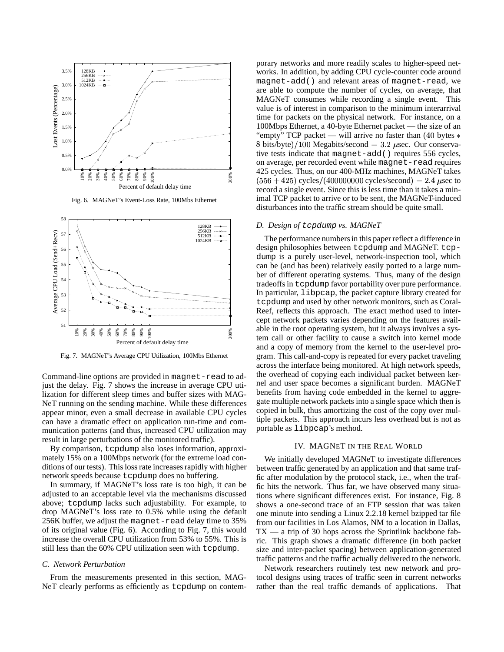

Fig. 6. MAGNeT's Event-Loss Rate, 100Mbs Ethernet



Fig. 7. MAGNeT's Average CPU Utilization, 100Mbs Ethernet

Command-line options are provided in magnet-read to adjust the delay. Fig. 7 shows the increase in average CPU utilization for different sleep times and buffer sizes with MAG-NeT running on the sending machine. While these differences appear minor, even a small decrease in available CPU cycles can have a dramatic effect on application run-time and communication patterns (and thus, increased CPU utilization may result in large perturbations of the monitored traffic).

By comparison, tcpdump also loses information, approximately 15% on a 100Mbps network (for the extreme load conditions of our tests). This loss rate increases rapidly with higher network speeds because tcpdump does no buffering.

In summary, if MAGNeT's loss rate is too high, it can be adjusted to an acceptable level via the mechanisms discussed above; tcpdump lacks such adjustability. For example, to drop MAGNeT's loss rate to 0.5% while using the default 256K buffer, we adjust the magnet-read delay time to 35% of its original value (Fig. 6). According to Fig. 7, this would increase the overall CPU utilization from 53% to 55%. This is still less than the 60% CPU utilization seen with tcpdump.

# *C. Network Perturbation*

From the measurements presented in this section, MAG-NeT clearly performs as efficiently as tcpdump on contemporary networks and more readily scales to higher-speed networks. In addition, by adding CPU cycle-counter code around magnet-add() and relevant areas of magnet-read, we are able to compute the number of cycles, on average, that MAGNeT consumes while recording a single event. This value is of interest in comparison to the minimum interarrival time for packets on the physical network. For instance, on a 100Mbps Ethernet, a 40-byte Ethernet packet — the size of an "empty" TCP packet — will arrive no faster than  $(40 \text{ bytes} *$ 8 bits/byte)/100 Megabits/second = 3.2  $\mu$ sec. Our conservative tests indicate that magnet-add() requires 556 cycles, on average, per recorded event while magnet-read requires 425 cycles. Thus, on our 400-MHz machines, MAGNeT takes  $(556 + 425)$  cycles/ $(40000000$  cycles/second) = 2.4  $\mu$ sec to record a single event. Since this is less time than it takes a minimal TCP packet to arrive or to be sent, the MAGNeT-induced disturbances into the traffic stream should be quite small.

#### *D. Design of* tcpdump *vs. MAGNeT*

The performance numbers in this paper reflect a difference in design philosophies between tcpdump and MAGNeT. tcpdump is a purely user-level, network-inspection tool, which can be (and has been) relatively easily ported to a large number of different operating systems. Thus, many of the design tradeoffs in tcpdump favor portability over pure performance. In particular, libpcap, the packet capture library created for tcpdump and used by other network monitors, such as Coral-Reef, reflects this approach. The exact method used to intercept network packets varies depending on the features available in the root operating system, but it always involves a system call or other facility to cause a switch into kernel mode and a copy of memory from the kernel to the user-level program. This call-and-copy is repeated for every packet traveling across the interface being monitored. At high network speeds, the overhead of copying each individual packet between kernel and user space becomes a significant burden. MAGNeT benefits from having code embedded in the kernel to aggregate multiple network packets into a single space which then is copied in bulk, thus amortizing the cost of the copy over multiple packets. This approach incurs less overhead but is not as portable as libpcap's method.

### IV. MAGNET IN THE REAL WORLD

We initially developed MAGNeT to investigate differences between traffic generated by an application and that same traffic after modulation by the protocol stack, i.e., when the traffic hits the network. Thus far, we have observed many situations where significant differences exist. For instance, Fig. 8 shows a one-second trace of an FTP session that was taken one minute into sending a Linux 2.2.18 kernel bzipped tar file from our facilities in Los Alamos, NM to a location in Dallas,  $TX$  — a trip of 30 hops across the Sprintlink backbone fabric. This graph shows a dramatic difference (in both packet size and inter-packet spacing) between application-generated traffic patterns and the traffic actually delivered to the network.

Network researchers routinely test new network and protocol designs using traces of traffic seen in current networks rather than the real traffic demands of applications. That